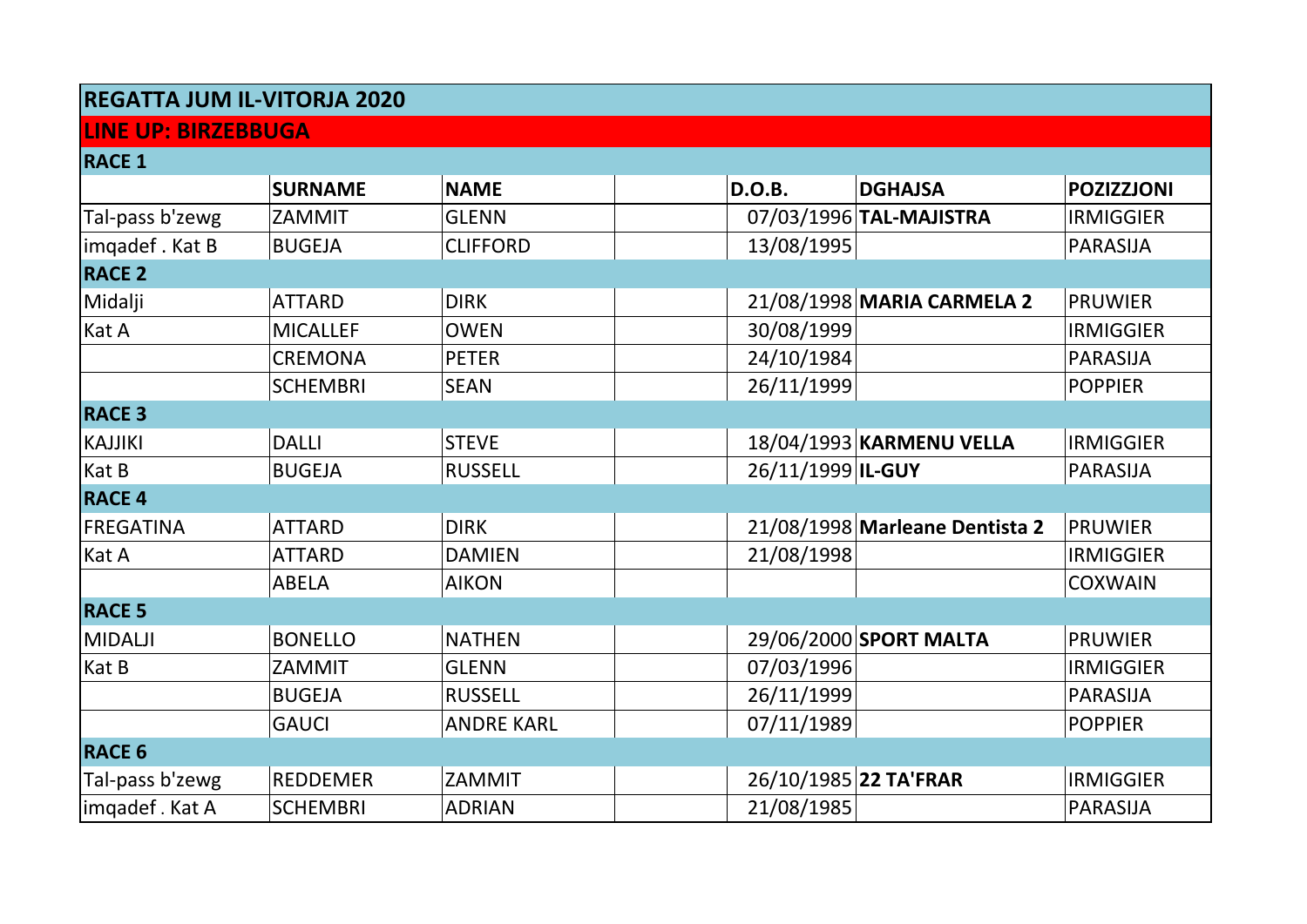## **REGATTA JUM IL-VITORJA 2020**

## **LINE UP: BIRZEBBUGA**

| <b>RACE 1</b>    |                 |                   |                   |                                |                   |
|------------------|-----------------|-------------------|-------------------|--------------------------------|-------------------|
|                  | <b>SURNAME</b>  | <b>NAME</b>       | D.O.B.            | <b>DGHAJSA</b>                 | <b>POZIZZJONI</b> |
| Tal-pass b'zewg  | ZAMMIT          | <b>GLENN</b>      |                   | 07/03/1996 TAL-MAJISTRA        | <b>IRMIGGIER</b>  |
| imqadef. Kat B   | <b>BUGEJA</b>   | <b>CLIFFORD</b>   | 13/08/1995        |                                | <b>PARASIJA</b>   |
| <b>RACE 2</b>    |                 |                   |                   |                                |                   |
| Midalji          | <b>ATTARD</b>   | <b>DIRK</b>       |                   | 21/08/1998 MARIA CARMELA 2     | <b>PRUWIER</b>    |
| Kat A            | <b>MICALLEF</b> | <b>OWEN</b>       | 30/08/1999        |                                | <b>IRMIGGIER</b>  |
|                  | <b>CREMONA</b>  | <b>PETER</b>      | 24/10/1984        |                                | <b>PARASIJA</b>   |
|                  | <b>SCHEMBRI</b> | <b>SEAN</b>       | 26/11/1999        |                                | <b>POPPIER</b>    |
| <b>RACE 3</b>    |                 |                   |                   |                                |                   |
| <b>KAJJIKI</b>   | <b>DALLI</b>    | <b>STEVE</b>      |                   | 18/04/1993 KARMENU VELLA       | <b>IRMIGGIER</b>  |
| Kat B            | <b>BUGEJA</b>   | <b>RUSSELL</b>    | 26/11/1999 IL-GUY |                                | <b>PARASIJA</b>   |
| <b>RACE 4</b>    |                 |                   |                   |                                |                   |
| <b>FREGATINA</b> | <b>ATTARD</b>   | <b>DIRK</b>       |                   | 21/08/1998 Marleane Dentista 2 | <b>PRUWIER</b>    |
| Kat A            | ATTARD          | <b>DAMIEN</b>     | 21/08/1998        |                                | <b>IRMIGGIER</b>  |
|                  | <b>ABELA</b>    | <b>AIKON</b>      |                   |                                | <b>COXWAIN</b>    |
| <b>RACE 5</b>    |                 |                   |                   |                                |                   |
| <b>MIDALJI</b>   | <b>BONELLO</b>  | <b>NATHEN</b>     |                   | 29/06/2000 SPORT MALTA         | <b>PRUWIER</b>    |
| Kat B            | ZAMMIT          | <b>GLENN</b>      | 07/03/1996        |                                | <b>IRMIGGIER</b>  |
|                  | <b>BUGEJA</b>   | <b>RUSSELL</b>    | 26/11/1999        |                                | <b>PARASIJA</b>   |
|                  | <b>GAUCI</b>    | <b>ANDRE KARL</b> | 07/11/1989        |                                | <b>POPPIER</b>    |
| <b>RACE 6</b>    |                 |                   |                   |                                |                   |
| Tal-pass b'zewg  | <b>REDDEMER</b> | ZAMMIT            |                   | 26/10/1985 22 TA'FRAR          | <b>IRMIGGIER</b>  |
| imqadef . Kat A  | <b>SCHEMBRI</b> | <b>ADRIAN</b>     | 21/08/1985        |                                | <b>PARASIJA</b>   |